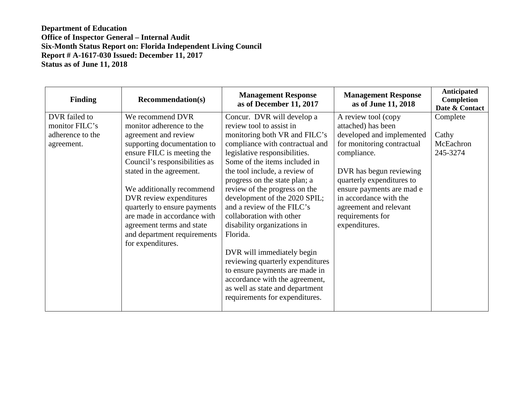| <b>Finding</b>   | <b>Recommendation(s)</b>      | <b>Management Response</b><br>as of December 11, 2017 | <b>Management Response</b><br>as of June 11, 2018 | <b>Anticipated</b><br>Completion<br>Date & Contact |
|------------------|-------------------------------|-------------------------------------------------------|---------------------------------------------------|----------------------------------------------------|
| DVR failed to    | We recommend DVR              | Concur. DVR will develop a                            | A review tool (copy                               | Complete                                           |
| monitor FILC's   | monitor adherence to the      | review tool to assist in                              | attached) has been                                |                                                    |
| adherence to the | agreement and review          | monitoring both VR and FILC's                         | developed and implemented                         | Cathy                                              |
| agreement.       | supporting documentation to   | compliance with contractual and                       | for monitoring contractual                        | McEachron                                          |
|                  | ensure FILC is meeting the    | legislative responsibilities.                         | compliance.                                       | 245-3274                                           |
|                  | Council's responsibilities as | Some of the items included in                         |                                                   |                                                    |
|                  | stated in the agreement.      | the tool include, a review of                         | DVR has begun reviewing                           |                                                    |
|                  |                               | progress on the state plan; a                         | quarterly expenditures to                         |                                                    |
|                  | We additionally recommend     | review of the progress on the                         | ensure payments are mad e                         |                                                    |
|                  | DVR review expenditures       | development of the 2020 SPIL;                         | in accordance with the                            |                                                    |
|                  | quarterly to ensure payments  | and a review of the FILC's                            | agreement and relevant                            |                                                    |
|                  | are made in accordance with   | collaboration with other                              | requirements for                                  |                                                    |
|                  | agreement terms and state     | disability organizations in                           | expenditures.                                     |                                                    |
|                  | and department requirements   | Florida.                                              |                                                   |                                                    |
|                  | for expenditures.             |                                                       |                                                   |                                                    |
|                  |                               | DVR will immediately begin                            |                                                   |                                                    |
|                  |                               | reviewing quarterly expenditures                      |                                                   |                                                    |
|                  |                               | to ensure payments are made in                        |                                                   |                                                    |
|                  |                               | accordance with the agreement,                        |                                                   |                                                    |
|                  |                               | as well as state and department                       |                                                   |                                                    |
|                  |                               | requirements for expenditures.                        |                                                   |                                                    |
|                  |                               |                                                       |                                                   |                                                    |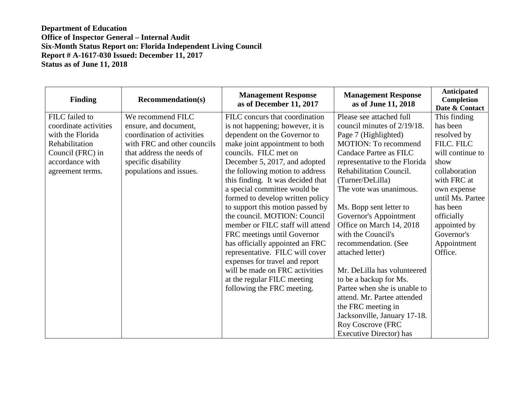| Finding               | <b>Recommendation(s)</b>    | <b>Management Response</b><br>as of December 11, 2017 | <b>Management Response</b><br>as of June 11, 2018 | <b>Anticipated</b><br>Completion<br>Date & Contact |
|-----------------------|-----------------------------|-------------------------------------------------------|---------------------------------------------------|----------------------------------------------------|
| FILC failed to        | We recommend FILC           | FILC concurs that coordination                        | Please see attached full                          | This finding                                       |
| coordinate activities | ensure, and document,       | is not happening; however, it is                      | council minutes of 2/19/18.                       | has been                                           |
| with the Florida      | coordination of activities  | dependent on the Governor to                          | Page 7 (Highlighted)                              | resolved by                                        |
| Rehabilitation        | with FRC and other councils | make joint appointment to both                        | <b>MOTION:</b> To recommend                       | FILC. FILC                                         |
| Council (FRC) in      | that address the needs of   | councils. FILC met on                                 | Candace Partee as FILC                            | will continue to                                   |
| accordance with       | specific disability         | December 5, 2017, and adopted                         | representative to the Florida                     | show                                               |
| agreement terms.      | populations and issues.     | the following motion to address                       | Rehabilitation Council.                           | collaboration                                      |
|                       |                             | this finding. It was decided that                     | (Turner/DeLilla)                                  | with FRC at                                        |
|                       |                             | a special committee would be                          | The vote was unanimous.                           | own expense                                        |
|                       |                             | formed to develop written policy                      |                                                   | until Ms. Partee                                   |
|                       |                             | to support this motion passed by                      | Ms. Bopp sent letter to                           | has been                                           |
|                       |                             | the council. MOTION: Council                          | Governor's Appointment                            | officially                                         |
|                       |                             | member or FILC staff will attend                      | Office on March 14, 2018                          | appointed by                                       |
|                       |                             | FRC meetings until Governor                           | with the Council's                                | Governor's                                         |
|                       |                             | has officially appointed an FRC                       | recommendation. (See                              | Appointment                                        |
|                       |                             | representative. FILC will cover                       | attached letter)                                  | Office.                                            |
|                       |                             | expenses for travel and report                        |                                                   |                                                    |
|                       |                             | will be made on FRC activities                        | Mr. DeLilla has volunteered                       |                                                    |
|                       |                             | at the regular FILC meeting                           | to be a backup for Ms.                            |                                                    |
|                       |                             | following the FRC meeting.                            | Partee when she is unable to                      |                                                    |
|                       |                             |                                                       | attend. Mr. Partee attended                       |                                                    |
|                       |                             |                                                       | the FRC meeting in                                |                                                    |
|                       |                             |                                                       | Jacksonville, January 17-18.                      |                                                    |
|                       |                             |                                                       | Roy Coscrove (FRC                                 |                                                    |
|                       |                             |                                                       | Executive Director) has                           |                                                    |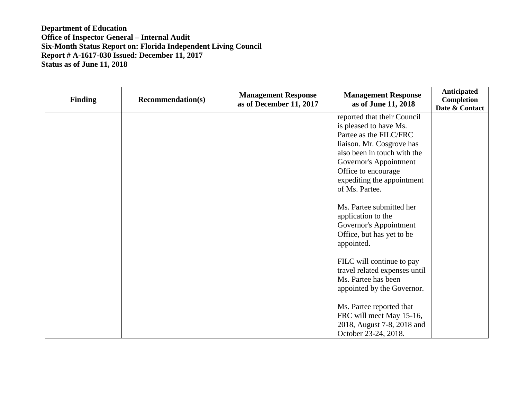| <b>Finding</b> | <b>Recommendation(s)</b> | <b>Management Response</b><br>as of December 11, 2017 | <b>Management Response</b><br>as of June 11, 2018 | <b>Anticipated</b><br>Completion<br>Date & Contact |
|----------------|--------------------------|-------------------------------------------------------|---------------------------------------------------|----------------------------------------------------|
|                |                          |                                                       | reported that their Council                       |                                                    |
|                |                          |                                                       | is pleased to have Ms.                            |                                                    |
|                |                          |                                                       | Partee as the FILC/FRC                            |                                                    |
|                |                          |                                                       | liaison. Mr. Cosgrove has                         |                                                    |
|                |                          |                                                       | also been in touch with the                       |                                                    |
|                |                          |                                                       | Governor's Appointment                            |                                                    |
|                |                          |                                                       | Office to encourage                               |                                                    |
|                |                          |                                                       | expediting the appointment                        |                                                    |
|                |                          |                                                       | of Ms. Partee.                                    |                                                    |
|                |                          |                                                       |                                                   |                                                    |
|                |                          |                                                       | Ms. Partee submitted her                          |                                                    |
|                |                          |                                                       | application to the                                |                                                    |
|                |                          |                                                       | Governor's Appointment                            |                                                    |
|                |                          |                                                       | Office, but has yet to be                         |                                                    |
|                |                          |                                                       | appointed.                                        |                                                    |
|                |                          |                                                       |                                                   |                                                    |
|                |                          |                                                       | FILC will continue to pay                         |                                                    |
|                |                          |                                                       | travel related expenses until                     |                                                    |
|                |                          |                                                       | Ms. Partee has been                               |                                                    |
|                |                          |                                                       | appointed by the Governor.                        |                                                    |
|                |                          |                                                       |                                                   |                                                    |
|                |                          |                                                       | Ms. Partee reported that                          |                                                    |
|                |                          |                                                       | FRC will meet May 15-16,                          |                                                    |
|                |                          |                                                       | 2018, August 7-8, 2018 and                        |                                                    |
|                |                          |                                                       | October 23-24, 2018.                              |                                                    |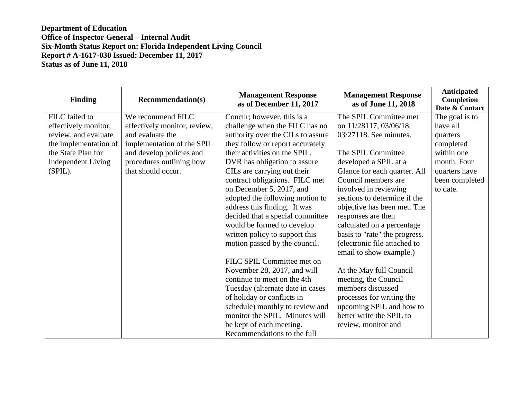| <b>Finding</b>        | <b>Recommendation(s)</b>     | <b>Management Response</b><br>as of December 11, 2017      | <b>Management Response</b><br>as of June 11, 2018 | <b>Anticipated</b><br><b>Completion</b><br>Date & Contact |
|-----------------------|------------------------------|------------------------------------------------------------|---------------------------------------------------|-----------------------------------------------------------|
| FILC failed to        | We recommend FILC            | Concur; however, this is a                                 | The SPIL Committee met                            | The goal is to                                            |
| effectively monitor,  | effectively monitor, review, | challenge when the FILC has no                             | on 11/28117, 03/06/18,                            | have all                                                  |
| review, and evaluate  | and evaluate the             | authority over the CILs to assure                          | 03/27118. See minutes.                            | quarters                                                  |
| the implementation of | implementation of the SPIL   | they follow or report accurately                           |                                                   | completed                                                 |
| the State Plan for    | and develop policies and     | their activities on the SPIL.                              | The SPIL Committee                                | within one                                                |
| Independent Living    | procedures outlining how     | DVR has obligation to assure                               | developed a SPIL at a                             | month. Four                                               |
| (SPIL).               | that should occur.           | CILs are carrying out their                                | Glance for each quarter. All                      | quarters have                                             |
|                       |                              | contract obligations. FILC met<br>on December 5, 2017, and | Council members are<br>involved in reviewing      | been completed<br>to date.                                |
|                       |                              | adopted the following motion to                            | sections to determine if the                      |                                                           |
|                       |                              | address this finding. It was                               | objective has been met. The                       |                                                           |
|                       |                              | decided that a special committee                           | responses are then                                |                                                           |
|                       |                              | would be formed to develop                                 | calculated on a percentage                        |                                                           |
|                       |                              | written policy to support this                             | basis to "rate" the progress.                     |                                                           |
|                       |                              | motion passed by the council.                              | (electronic file attached to                      |                                                           |
|                       |                              |                                                            | email to show example.)                           |                                                           |
|                       |                              | FILC SPIL Committee met on                                 |                                                   |                                                           |
|                       |                              | November 28, 2017, and will                                | At the May full Council                           |                                                           |
|                       |                              | continue to meet on the 4th                                | meeting, the Council                              |                                                           |
|                       |                              | Tuesday (alternate date in cases                           | members discussed                                 |                                                           |
|                       |                              | of holiday or conflicts in                                 | processes for writing the                         |                                                           |
|                       |                              | schedule) monthly to review and                            | upcoming SPIL and how to                          |                                                           |
|                       |                              | monitor the SPIL. Minutes will                             | better write the SPIL to                          |                                                           |
|                       |                              | be kept of each meeting.                                   | review, monitor and                               |                                                           |
|                       |                              | Recommendations to the full                                |                                                   |                                                           |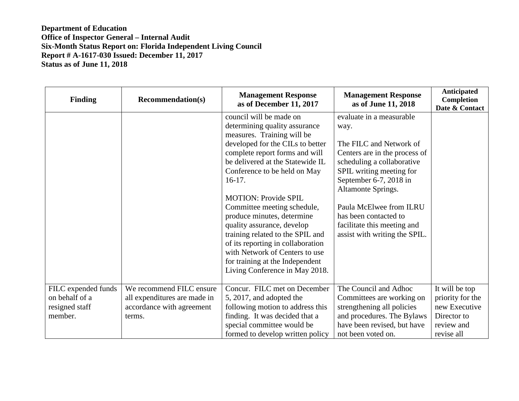| <b>Finding</b>                                                     | <b>Recommendation(s)</b>                                                                        | <b>Management Response</b><br>as of December 11, 2017                                                                                                                                                                                                                                                                                                                                                                                                                                                                                                  | <b>Management Response</b><br>as of June 11, 2018                                                                                                                                                                                                                                                                          | <b>Anticipated</b><br>Completion<br>Date & Contact                                             |
|--------------------------------------------------------------------|-------------------------------------------------------------------------------------------------|--------------------------------------------------------------------------------------------------------------------------------------------------------------------------------------------------------------------------------------------------------------------------------------------------------------------------------------------------------------------------------------------------------------------------------------------------------------------------------------------------------------------------------------------------------|----------------------------------------------------------------------------------------------------------------------------------------------------------------------------------------------------------------------------------------------------------------------------------------------------------------------------|------------------------------------------------------------------------------------------------|
|                                                                    |                                                                                                 | council will be made on<br>determining quality assurance<br>measures. Training will be<br>developed for the CILs to better<br>complete report forms and will<br>be delivered at the Statewide IL<br>Conference to be held on May<br>$16-17.$<br><b>MOTION: Provide SPIL</b><br>Committee meeting schedule,<br>produce minutes, determine<br>quality assurance, develop<br>training related to the SPIL and<br>of its reporting in collaboration<br>with Network of Centers to use<br>for training at the Independent<br>Living Conference in May 2018. | evaluate in a measurable<br>way.<br>The FILC and Network of<br>Centers are in the process of<br>scheduling a collaborative<br>SPIL writing meeting for<br>September 6-7, 2018 in<br>Altamonte Springs.<br>Paula McElwee from ILRU<br>has been contacted to<br>facilitate this meeting and<br>assist with writing the SPIL. |                                                                                                |
| FILC expended funds<br>on behalf of a<br>resigned staff<br>member. | We recommend FILC ensure<br>all expenditures are made in<br>accordance with agreement<br>terms. | Concur. FILC met on December<br>5, 2017, and adopted the<br>following motion to address this<br>finding. It was decided that a<br>special committee would be<br>formed to develop written policy                                                                                                                                                                                                                                                                                                                                                       | The Council and Adhoc<br>Committees are working on<br>strengthening all policies<br>and procedures. The Bylaws<br>have been revised, but have<br>not been voted on.                                                                                                                                                        | It will be top<br>priority for the<br>new Executive<br>Director to<br>review and<br>revise all |